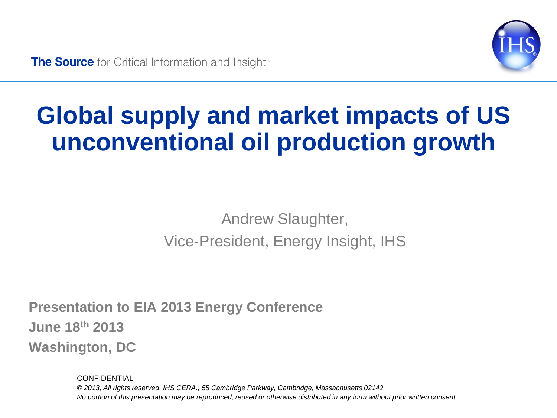

# **Global supply and market impacts of US unconventional oil production growth**

#### Andrew Slaughter, Vice-President, Energy Insight, IHS

**Presentation to EIA 2013 Energy Conference June 18th 2013 Washington, DC**

> **CONFIDENTIAL** *© 2013, All rights reserved, IHS CERA., 55 Cambridge Parkway, Cambridge, Massachusetts 02142 No portion of this presentation may be reproduced, reused or otherwise distributed in any form without prior written consent*.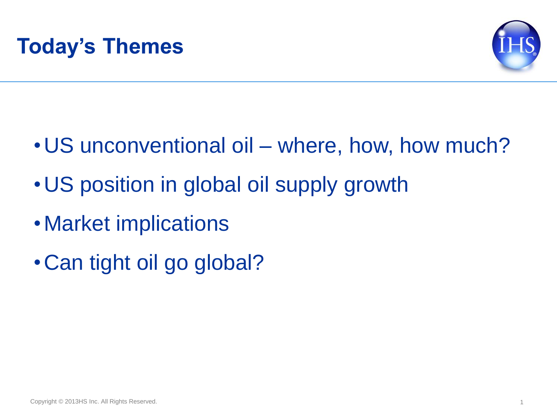

- •US unconventional oil where, how, how much?
- •US position in global oil supply growth
- •Market implications
- •Can tight oil go global?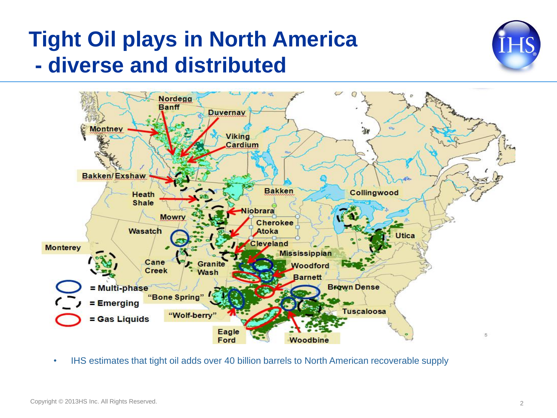#### **Tight Oil plays in North America - diverse and distributed**





• IHS estimates that tight oil adds over 40 billion barrels to North American recoverable supply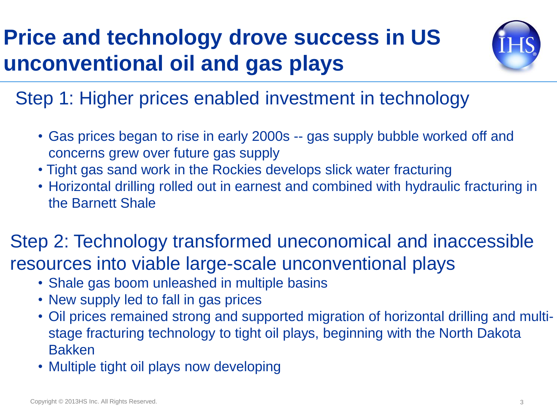### **Price and technology drove success in US unconventional oil and gas plays**



Step 1: Higher prices enabled investment in technology

- Gas prices began to rise in early 2000s -- gas supply bubble worked off and concerns grew over future gas supply
- Tight gas sand work in the Rockies develops slick water fracturing
- Horizontal drilling rolled out in earnest and combined with hydraulic fracturing in the Barnett Shale

#### Step 2: Technology transformed uneconomical and inaccessible resources into viable large-scale unconventional plays

- Shale gas boom unleashed in multiple basins
- New supply led to fall in gas prices
- Oil prices remained strong and supported migration of horizontal drilling and multistage fracturing technology to tight oil plays, beginning with the North Dakota Bakken
- Multiple tight oil plays now developing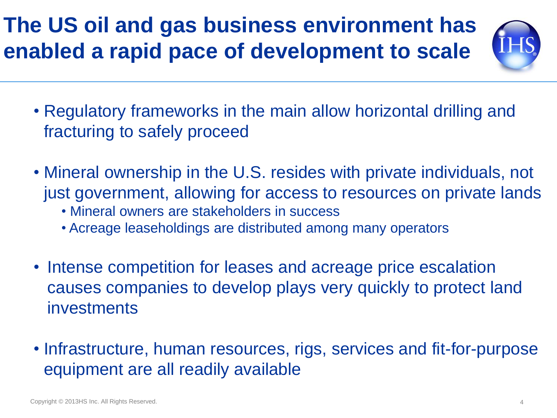#### **The US oil and gas business environment has enabled a rapid pace of development to scale**



- Regulatory frameworks in the main allow horizontal drilling and fracturing to safely proceed
- Mineral ownership in the U.S. resides with private individuals, not just government, allowing for access to resources on private lands
	- Mineral owners are stakeholders in success
	- Acreage leaseholdings are distributed among many operators
- Intense competition for leases and acreage price escalation causes companies to develop plays very quickly to protect land investments
- Infrastructure, human resources, rigs, services and fit-for-purpose equipment are all readily available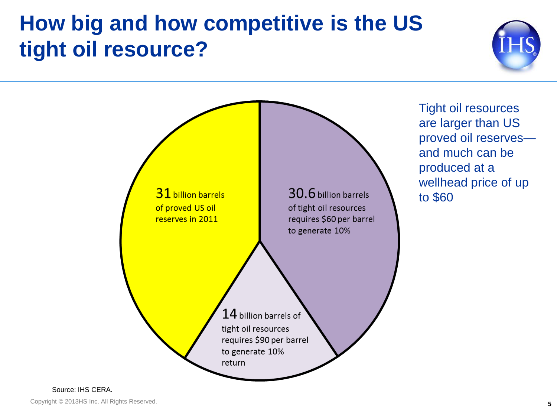#### **How big and how competitive is the US tight oil resource?**





Tight oil resources are larger than US proved oil reserves and much can be produced at a wellhead price of up to \$60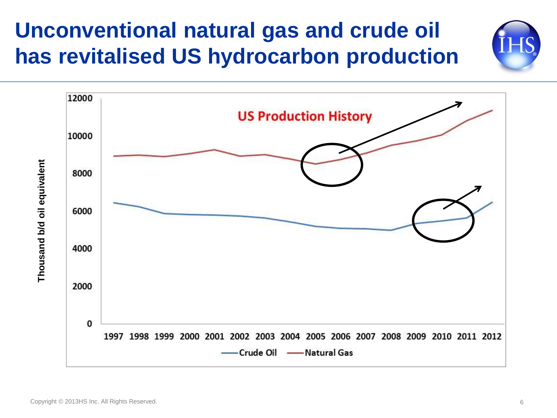#### **Unconventional natural gas and crude oil has revitalised US hydrocarbon production**





Copyright © 2013HS Inc. All Rights Reserved. 6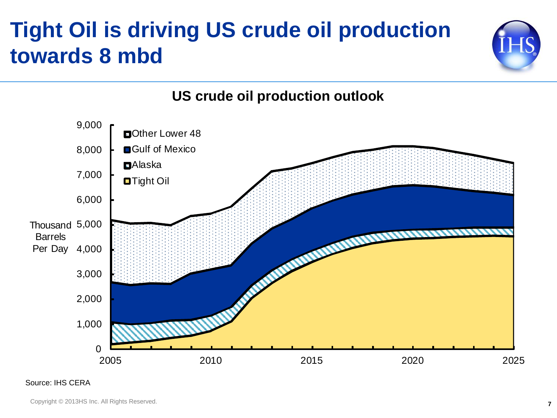#### **Tight Oil is driving US crude oil production towards 8 mbd**





Source: IHS CERA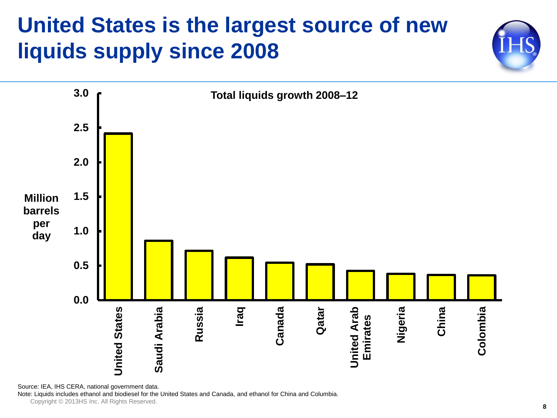#### **United States is the largest source of new liquids supply since 2008**





Source: IEA, IHS CERA, national government data.

Note: Liquids includes ethanol and biodiesel for the United States and Canada, and ethanol for China and Columbia.

Copyright © 2013HS Inc. All Rights Reserved.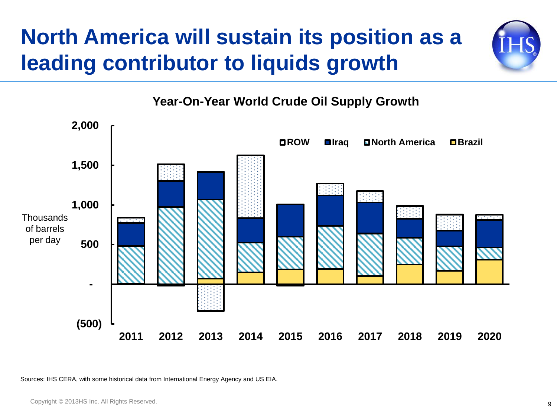#### **North America will sustain its position as a leading contributor to liquids growth**







Sources: IHS CERA, with some historical data from International Energy Agency and US EIA.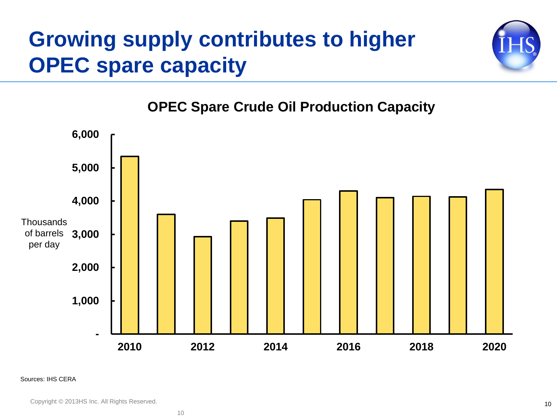#### **Growing supply contributes to higher OPEC spare capacity**



**OPEC Spare Crude Oil Production Capacity**



#### Sources: IHS CERA

Copyright © 2013HS Inc. All Rights Reserved.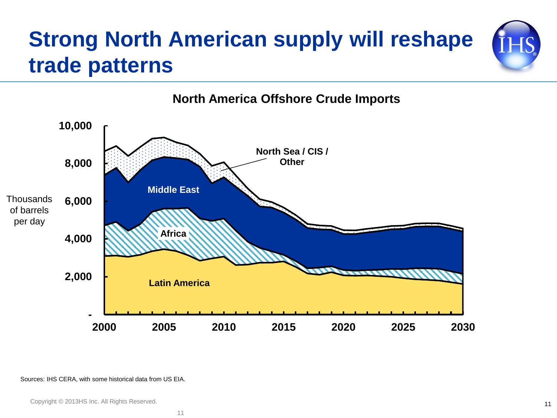## **Strong North American supply will reshape trade patterns**



#### **North America Offshore Crude Imports**

Sources: IHS CERA, with some historical data from US EIA.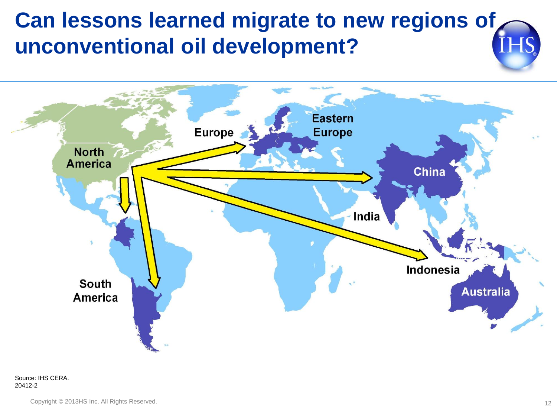#### **Can lessons learned migrate to new regions of unconventional oil development?**

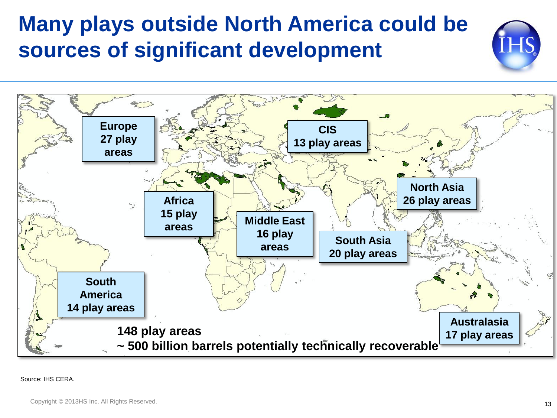#### **Many plays outside North America could be sources of significant development**

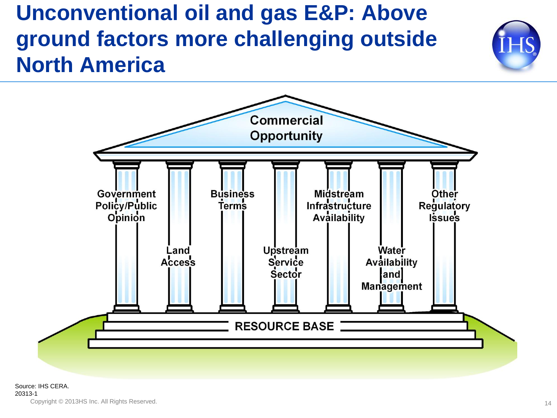#### **Unconventional oil and gas E&P: Above ground factors more challenging outside North America**